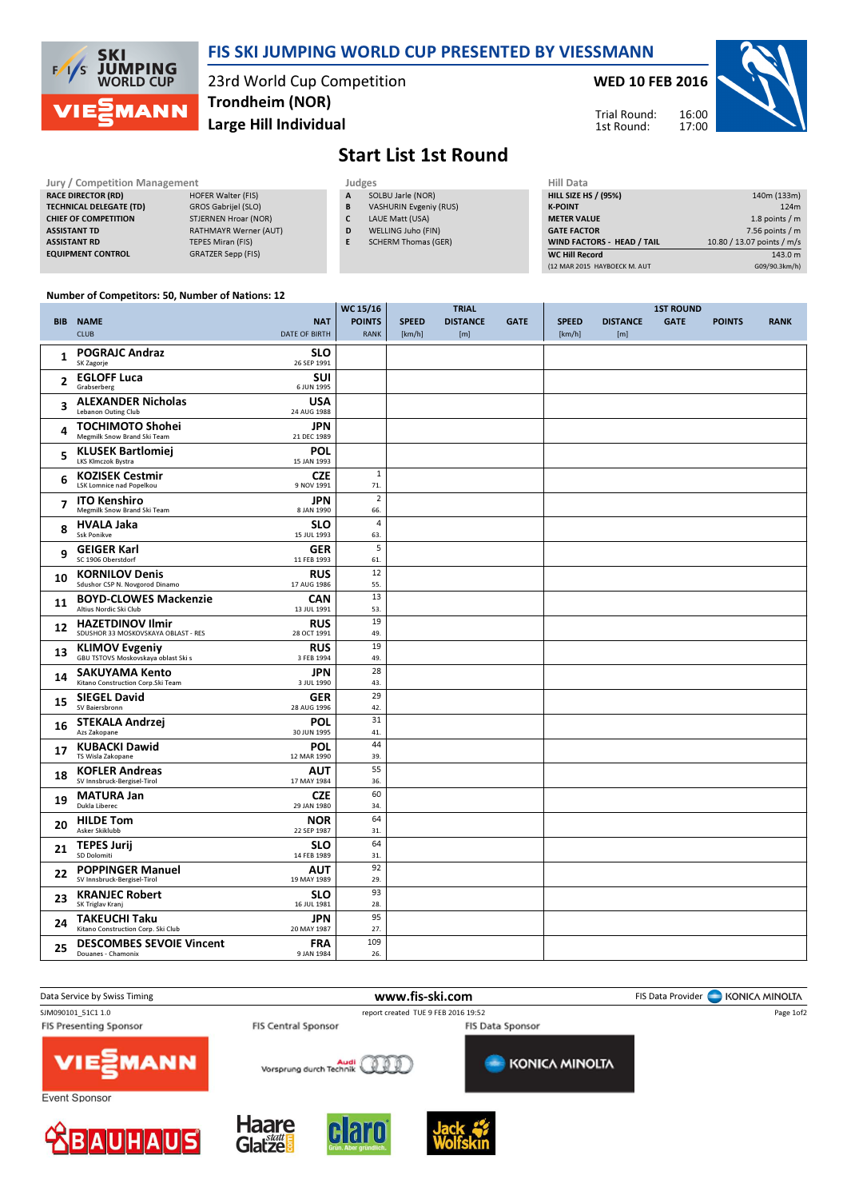

### FIS SKI JUMPING WORLD CUP PRESENTED BY VIESSMANN

23rd World Cup Competition Large Hill Individual Trondheim (NOR)

#### WED 10 FEB 2016



Trial Round: 1st Round:

# Start List 1st Round

| Jury / Competition Management  |                              |   | <b>Hill Data</b><br>Judges    |                    |  |  |  |
|--------------------------------|------------------------------|---|-------------------------------|--------------------|--|--|--|
| <b>RACE DIRECTOR (RD)</b>      | <b>HOFER Walter (FIS)</b>    | A | SOLBU Jarle (NOR)             | <b>HILL SIZE H</b> |  |  |  |
| <b>TECHNICAL DELEGATE (TD)</b> | GROS Gabrijel (SLO)          | B | <b>VASHURIN Evgeniy (RUS)</b> | <b>K-POINT</b>     |  |  |  |
| <b>CHIEF OF COMPETITION</b>    | STJERNEN Hroar (NOR)         |   | LAUE Matt (USA)               | <b>METER VAI</b>   |  |  |  |
| <b>ASSISTANT TD</b>            | <b>RATHMAYR Werner (AUT)</b> | D | WELLING Juho (FIN)            | <b>GATE FACT</b>   |  |  |  |
| <b>ASSISTANT RD</b>            | <b>TEPES Miran (FIS)</b>     |   | <b>SCHERM Thomas (GER)</b>    | <b>WIND FACT</b>   |  |  |  |
| <b>EQUIPMENT CONTROL</b>       | <b>GRATZER Sepp (FIS)</b>    |   |                               | WC Hill Re         |  |  |  |

| .                            |                            |
|------------------------------|----------------------------|
| <b>HILL SIZE HS / (95%)</b>  | 140m (133m)                |
| <b>K-POINT</b>               | 124m                       |
| <b>METER VALUE</b>           | 1.8 points $/m$            |
| <b>GATE FACTOR</b>           | 7.56 points $/m$           |
| WIND FACTORS - HEAD / TAIL   | 10.80 / 13.07 points / m/s |
| <b>WC Hill Record</b>        | 143.0 m                    |
| (12 MAR 2015 HAYBOECK M. AUT | G09/90.3km/h)              |
|                              |                            |

#### Number of Competitors: 50, Number of Nations: 12

|                |                                                                |                           | WC 15/16              |              | <b>TRIAL</b>    |             |              |                 | <b>1ST ROUND</b> |               |             |
|----------------|----------------------------------------------------------------|---------------------------|-----------------------|--------------|-----------------|-------------|--------------|-----------------|------------------|---------------|-------------|
|                | <b>BIB NAME</b>                                                | <b>NAT</b>                | <b>POINTS</b>         | <b>SPEED</b> | <b>DISTANCE</b> | <b>GATE</b> | <b>SPEED</b> | <b>DISTANCE</b> | <b>GATE</b>      | <b>POINTS</b> | <b>RANK</b> |
|                | <b>CLUB</b>                                                    | <b>DATE OF BIRTH</b>      | <b>RANK</b>           | [km/h]       | [m]             |             | [km/h]       | [m]             |                  |               |             |
| 1              | <b>POGRAJC Andraz</b><br>SK Zagorje                            | <b>SLO</b><br>26 SEP 1991 |                       |              |                 |             |              |                 |                  |               |             |
| 2              | <b>EGLOFF Luca</b><br>Grabserberg                              | <b>SUI</b><br>6 JUN 1995  |                       |              |                 |             |              |                 |                  |               |             |
| 3              | <b>ALEXANDER Nicholas</b><br>Lebanon Outing Club               | <b>USA</b><br>24 AUG 1988 |                       |              |                 |             |              |                 |                  |               |             |
| 4              | <b>TOCHIMOTO Shohei</b><br>Megmilk Snow Brand Ski Team         | JPN<br>21 DEC 1989        |                       |              |                 |             |              |                 |                  |               |             |
| 5              | <b>KLUSEK Bartlomiej</b><br>LKS Klmczok Bystra                 | <b>POL</b><br>15 JAN 1993 |                       |              |                 |             |              |                 |                  |               |             |
| 6              | <b>KOZISEK Cestmir</b><br>LSK Lomnice nad Popelkou             | <b>CZE</b><br>9 NOV 1991  | $\mathbf{1}$<br>71.   |              |                 |             |              |                 |                  |               |             |
| $\overline{7}$ | <b>ITO Kenshiro</b><br>Megmilk Snow Brand Ski Team             | JPN<br>8 JAN 1990         | $\overline{2}$<br>66. |              |                 |             |              |                 |                  |               |             |
| 8              | <b>HVALA Jaka</b><br><b>Ssk Ponikve</b>                        | <b>SLO</b><br>15 JUL 1993 | $\overline{4}$<br>63. |              |                 |             |              |                 |                  |               |             |
| 9              | <b>GEIGER Karl</b><br>SC 1906 Oberstdorf                       | <b>GER</b><br>11 FEB 1993 | 5<br>61.              |              |                 |             |              |                 |                  |               |             |
| 10             | <b>KORNILOV Denis</b>                                          | <b>RUS</b>                | 12                    |              |                 |             |              |                 |                  |               |             |
|                | Sdushor CSP N. Novgorod Dinamo                                 | 17 AUG 1986               | 55.<br>13             |              |                 |             |              |                 |                  |               |             |
| 11             | <b>BOYD-CLOWES Mackenzie</b><br>Altius Nordic Ski Club         | <b>CAN</b><br>13 JUL 1991 | 53.                   |              |                 |             |              |                 |                  |               |             |
| 12             | <b>HAZETDINOV Ilmir</b><br>SDUSHOR 33 MOSKOVSKAYA OBLAST - RES | <b>RUS</b><br>28 OCT 1991 | 19<br>49.             |              |                 |             |              |                 |                  |               |             |
| 13             | <b>KLIMOV Evgeniy</b><br>GBU TSTOVS Moskovskaya oblast Ski s   | <b>RUS</b><br>3 FEB 1994  | 19<br>49.             |              |                 |             |              |                 |                  |               |             |
| 14             | <b>SAKUYAMA Kento</b><br>Kitano Construction Corp.Ski Team     | JPN<br>3 JUL 1990         | 28<br>43.             |              |                 |             |              |                 |                  |               |             |
| 15             | <b>SIEGEL David</b><br>SV Baiersbronn                          | <b>GER</b><br>28 AUG 1996 | 29<br>42.             |              |                 |             |              |                 |                  |               |             |
| 16             | <b>STEKALA Andrzej</b><br>Azs Zakopane                         | <b>POL</b><br>30 JUN 1995 | 31<br>41.             |              |                 |             |              |                 |                  |               |             |
| 17             | <b>KUBACKI Dawid</b><br>TS Wisla Zakopane                      | <b>POL</b><br>12 MAR 1990 | 44<br>39.             |              |                 |             |              |                 |                  |               |             |
| 18             | <b>KOFLER Andreas</b><br>SV Innsbruck-Bergisel-Tirol           | <b>AUT</b><br>17 MAY 1984 | 55<br>36.             |              |                 |             |              |                 |                  |               |             |
| 19             | <b>MATURA Jan</b><br>Dukla Liberec                             | <b>CZE</b><br>29 JAN 1980 | 60<br>34.             |              |                 |             |              |                 |                  |               |             |
| 20             | <b>HILDE Tom</b>                                               | <b>NOR</b>                | 64                    |              |                 |             |              |                 |                  |               |             |
|                | Asker Skiklubb                                                 | 22 SEP 1987               | 31.                   |              |                 |             |              |                 |                  |               |             |
| 21             | <b>TEPES Jurij</b><br>SD Dolomiti                              | <b>SLO</b><br>14 FEB 1989 | 64<br>31.             |              |                 |             |              |                 |                  |               |             |
| 22             | <b>POPPINGER Manuel</b><br>SV Innsbruck-Bergisel-Tirol         | <b>AUT</b><br>19 MAY 1989 | 92<br>29.             |              |                 |             |              |                 |                  |               |             |
| 23             | <b>KRANJEC Robert</b><br>SK Triglav Kranj                      | <b>SLO</b><br>16 JUL 1981 | 93<br>28.             |              |                 |             |              |                 |                  |               |             |
| 24             | <b>TAKEUCHI Taku</b><br>Kitano Construction Corp. Ski Club     | JPN<br>20 MAY 1987        | 95<br>27.             |              |                 |             |              |                 |                  |               |             |
|                | <b>DESCOMBES SEVOIE Vincent</b>                                | <b>FRA</b>                | 109                   |              |                 |             |              |                 |                  |               |             |
| 25             | Douanes - Chamonix                                             | 9 JAN 1984                | 26.                   |              |                 |             |              |                 |                  |               |             |